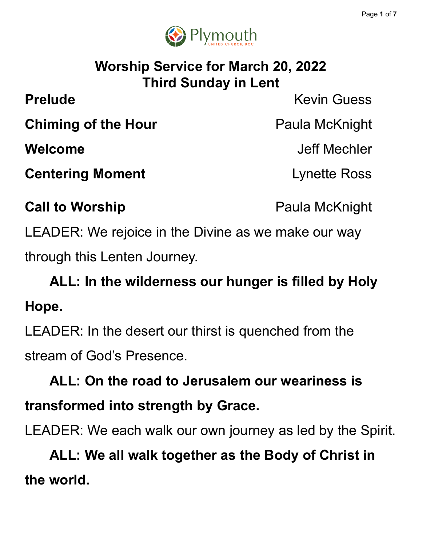

## **Worship Service for March 20, 2022 Third Sunday in Lent**

**Chiming of the Hour** Paula McKnight

**Centering Moment Centering Moment** 

**Prelude** Kevin Guess

**Welcome** Jeff Mechler

**Call to Worship Call to Worship Paula McKnight** 

LEADER: We rejoice in the Divine as we make our way through this Lenten Journey.

**ALL: In the wilderness our hunger is filled by Holy Hope.**

LEADER: In the desert our thirst is quenched from the stream of God's Presence.

**ALL: On the road to Jerusalem our weariness is transformed into strength by Grace.**

LEADER: We each walk our own journey as led by the Spirit.

**ALL: We all walk together as the Body of Christ in the world.**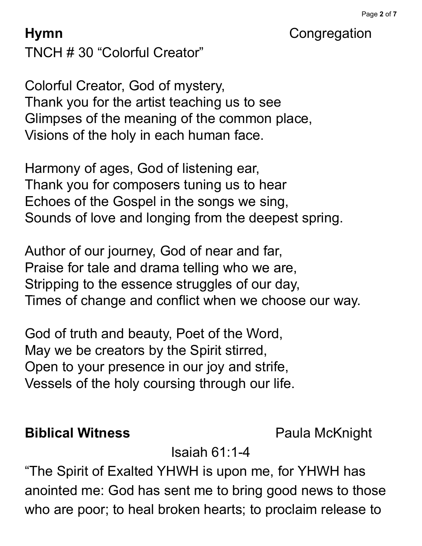## **Hymn** Congregation

TNCH # 30 "Colorful Creator"

Colorful Creator, God of mystery, Thank you for the artist teaching us to see Glimpses of the meaning of the common place, Visions of the holy in each human face.

Harmony of ages, God of listening ear, Thank you for composers tuning us to hear Echoes of the Gospel in the songs we sing, Sounds of love and longing from the deepest spring.

Author of our journey, God of near and far, Praise for tale and drama telling who we are, Stripping to the essence struggles of our day, Times of change and conflict when we choose our way.

God of truth and beauty, Poet of the Word, May we be creators by the Spirit stirred, Open to your presence in our joy and strife, Vessels of the holy coursing through our life.

### **Biblical Witness** Paula McKnight

Isaiah 61:1-4

"The Spirit of Exalted YHWH is upon me, for YHWH has anointed me: God has sent me to bring good news to those who are poor; to heal broken hearts; to proclaim release to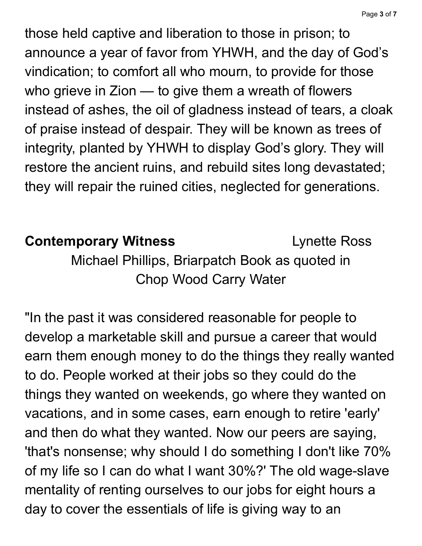those held captive and liberation to those in prison; to announce a year of favor from YHWH, and the day of God's vindication; to comfort all who mourn, to provide for those who grieve in Zion — to give them a wreath of flowers instead of ashes, the oil of gladness instead of tears, a cloak of praise instead of despair. They will be known as trees of integrity, planted by YHWH to display God's glory. They will restore the ancient ruins, and rebuild sites long devastated; they will repair the ruined cities, neglected for generations.

### **Contemporary Witness Lynette Ross**

Michael Phillips, Briarpatch Book as quoted in Chop Wood Carry Water

"In the past it was considered reasonable for people to develop a marketable skill and pursue a career that would earn them enough money to do the things they really wanted to do. People worked at their jobs so they could do the things they wanted on weekends, go where they wanted on vacations, and in some cases, earn enough to retire 'early' and then do what they wanted. Now our peers are saying, 'that's nonsense; why should I do something I don't like 70% of my life so I can do what I want 30%?' The old wage-slave mentality of renting ourselves to our jobs for eight hours a day to cover the essentials of life is giving way to an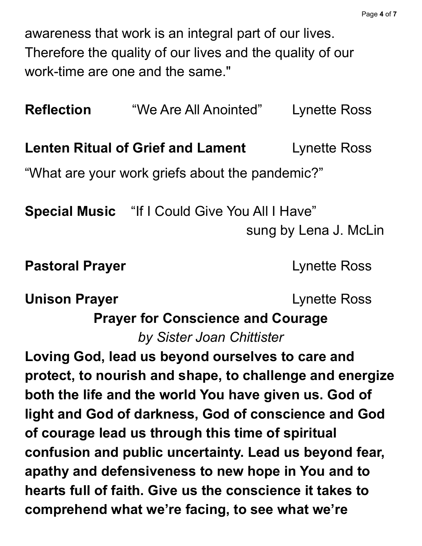awareness that work is an integral part of our lives. Therefore the quality of our lives and the quality of our work-time are one and the same."

**Reflection** "We Are All Anointed" Lynette Ross **Lenten Ritual of Grief and Lament** Lynette Ross "What are your work griefs about the pandemic?" **Special Music** "If I Could Give You All I Have" sung by Lena J. McLin **Pastoral Prayer Lynette Ross Unison Prayer Lynette Ross Prayer for Conscience and Courage**

*by Sister Joan Chittister*

**Loving God, lead us beyond ourselves to care and protect, to nourish and shape, to challenge and energize both the life and the world You have given us. God of light and God of darkness, God of conscience and God of courage lead us through this time of spiritual confusion and public uncertainty. Lead us beyond fear, apathy and defensiveness to new hope in You and to hearts full of faith. Give us the conscience it takes to comprehend what we're facing, to see what we're**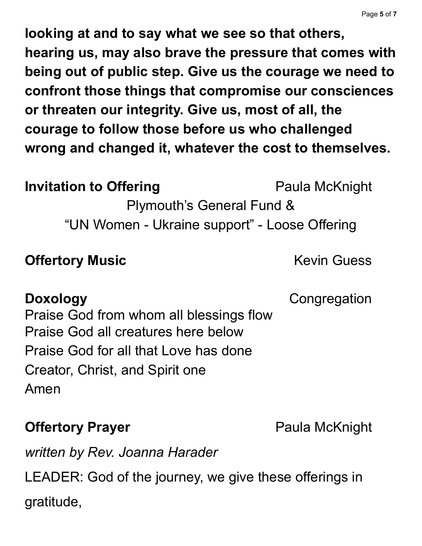**looking at and to say what we see so that others, hearing us, may also brave the pressure that comes with being out of public step. Give us the courage we need to confront those things that compromise our consciences or threaten our integrity. Give us, most of all, the courage to follow those before us who challenged wrong and changed it, whatever the cost to themselves.**

### **Invitation to Offering Paula McKnight**

Plymouth's General Fund & "UN Women - Ukraine support" - Loose Offering

### **Offertory Music** Kevin Guess

**Doxology** Congregation

Praise God from whom all blessings flow Praise God all creatures here below Praise God for all that Love has done Creator, Christ, and Spirit one Amen

# **Offertory Prayer Paula McKnight**

*written by Rev. Joanna Harader*

LEADER: God of the journey, we give these offerings in gratitude,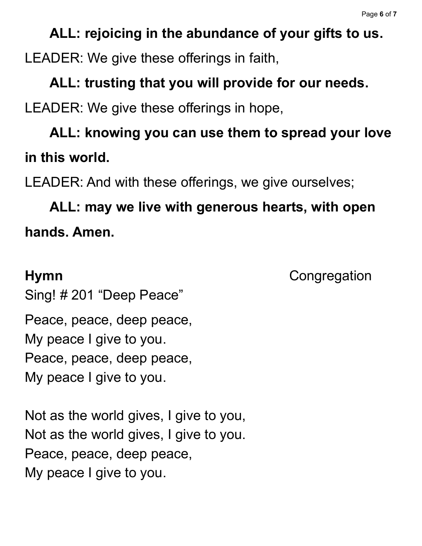### **ALL: rejoicing in the abundance of your gifts to us.**

LEADER: We give these offerings in faith,

### **ALL: trusting that you will provide for our needs.**

LEADER: We give these offerings in hope,

# **ALL: knowing you can use them to spread your love in this world.**

LEADER: And with these offerings, we give ourselves;

**ALL: may we live with generous hearts, with open hands. Amen.**

**Hymn** Congregation

Sing! # 201 "Deep Peace" Peace, peace, deep peace, My peace I give to you. Peace, peace, deep peace, My peace I give to you.

Not as the world gives, I give to you, Not as the world gives, I give to you. Peace, peace, deep peace, My peace I give to you.